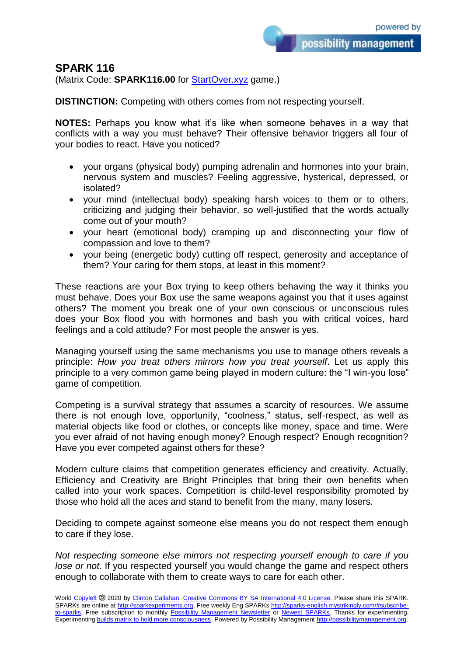## **SPARK 116**

(Matrix Code: **SPARK116.00** for **StartOver.xyz** game.)

**DISTINCTION:** Competing with others comes from not respecting yourself.

**NOTES:** Perhaps you know what it's like when someone behaves in a way that conflicts with a way you must behave? Their offensive behavior triggers all four of your bodies to react. Have you noticed?

- your organs (physical body) pumping adrenalin and hormones into your brain, nervous system and muscles? Feeling aggressive, hysterical, depressed, or isolated?
- your mind (intellectual body) speaking harsh voices to them or to others, criticizing and judging their behavior, so well-justified that the words actually come out of your mouth?
- your heart (emotional body) cramping up and disconnecting your flow of compassion and love to them?
- your being (energetic body) cutting off respect, generosity and acceptance of them? Your caring for them stops, at least in this moment?

These reactions are your Box trying to keep others behaving the way it thinks you must behave. Does your Box use the same weapons against you that it uses against others? The moment you break one of your own conscious or unconscious rules does your Box flood you with hormones and bash you with critical voices, hard feelings and a cold attitude? For most people the answer is yes.

Managing yourself using the same mechanisms you use to manage others reveals a principle: *How you treat others mirrors how you treat yourself*. Let us apply this principle to a very common game being played in modern culture: the "I win-you lose" game of competition.

Competing is a survival strategy that assumes a scarcity of resources. We assume there is not enough love, opportunity, "coolness," status, self-respect, as well as material objects like food or clothes, or concepts like money, space and time. Were you ever afraid of not having enough money? Enough respect? Enough recognition? Have you ever competed against others for these?

Modern culture claims that competition generates efficiency and creativity. Actually, Efficiency and Creativity are Bright Principles that bring their own benefits when called into your work spaces. Competition is child-level responsibility promoted by those who hold all the aces and stand to benefit from the many, many losers.

Deciding to compete against someone else means you do not respect them enough to care if they lose.

*Not respecting someone else mirrors not respecting yourself enough to care if you lose or not*. If you respected yourself you would change the game and respect others enough to collaborate with them to create ways to care for each other.